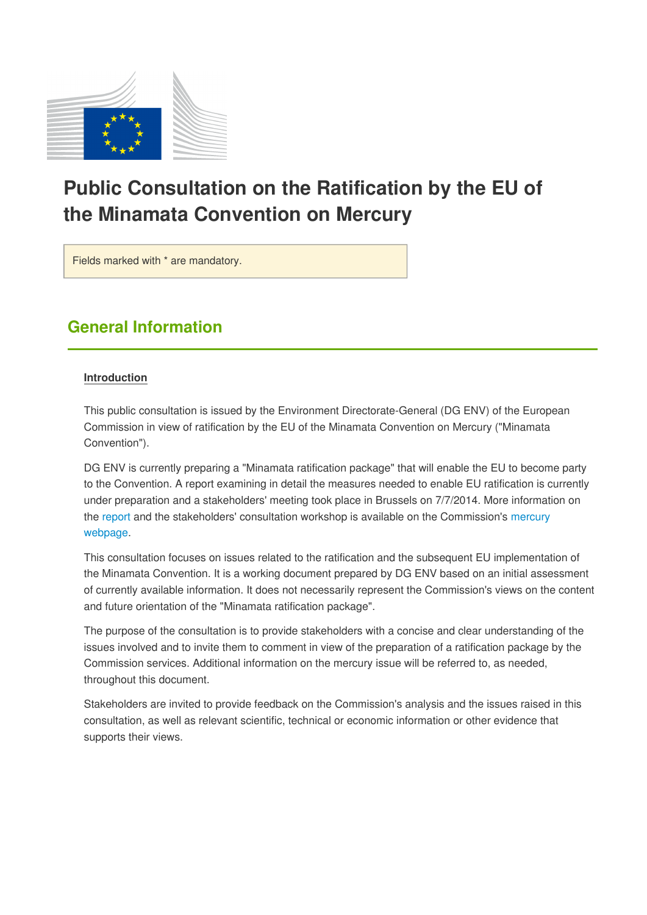

# **Public Consultation on the Ratification by the EU of the Minamata Convention on Mercury**

Fields marked with \* are mandatory.

# **General Information**

#### **Introduction**

This public consultation is issued by the Environment Directorate-General (DG ENV) of the European Commission in view of ratification by the EU of the Minamata Convention on Mercury ("Minamata Convention").

DG ENV is currently preparing a "Minamata ratification package" that will enable the EU to become party to the Convention. A report examining in detail the measures needed to enable EU ratification is currently under preparation and a stakeholders' meeting took place in Brussels on 7/7/2014. More information on the [report](http://vestia.cc.cec.eu.int:8090/environment/chemicals/mercury/pdf/REPORT-EU-Hg.pdf) and the stakeholders' consultation workshop is available on the Commission's [mercury](http://vestia.cc.cec.eu.int:8090/environment/chemicals/mercury/) [webpage.](http://vestia.cc.cec.eu.int:8090/environment/chemicals/mercury/)

This consultation focuses on issues related to the ratification and the subsequent EU implementation of the Minamata Convention. It is a working document prepared by DG ENV based on an initial assessment of currently available information. It does not necessarily represent the Commission's views on the content and future orientation of the "Minamata ratification package".

The purpose of the consultation is to provide stakeholders with a concise and clear understanding of the issues involved and to invite them to comment in view of the preparation of a ratification package by the Commission services. Additional information on the mercury issue will be referred to, as needed, throughout this document.

Stakeholders are invited to provide feedback on the Commission's analysis and the issues raised in this consultation, as well as relevant scientific, technical or economic information or other evidence that supports their views.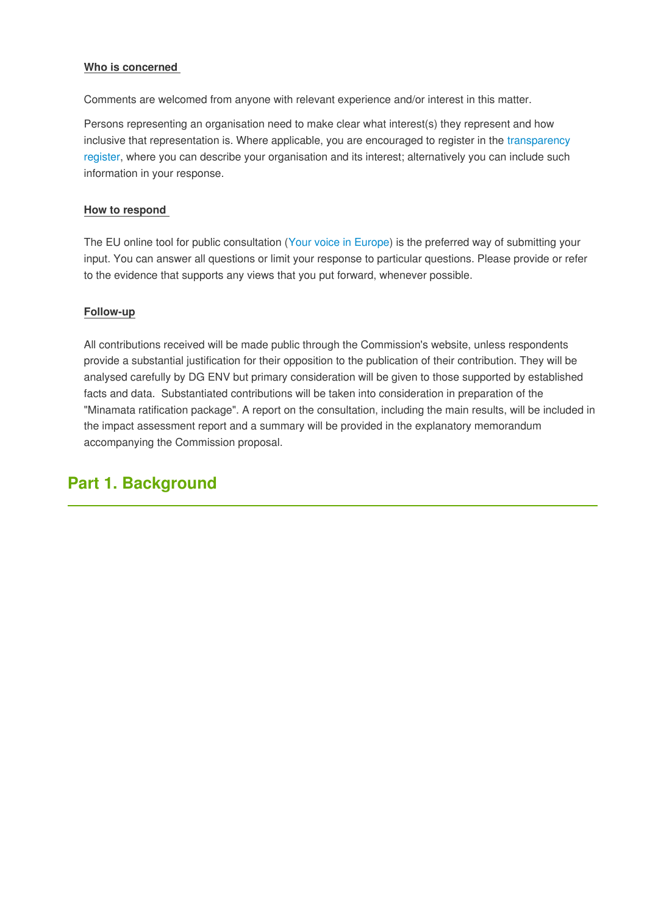#### **Who is concerned**

Comments are welcomed from anyone with relevant experience and/or interest in this matter.

Persons representing an organisation need to make clear what interest(s) they represent and how inclusive that representation is. Where applicable, you are encouraged to register in the [transparency](http://vestia.cc.cec.eu.int:8090/transparencyregister/) [register,](http://vestia.cc.cec.eu.int:8090/transparencyregister/) where you can describe your organisation and its interest; alternatively you can include such information in your response.

#### **How to respond**

The EU online tool for public consultation ([Your voice in Europe](http://vestia.cc.cec.eu.int:8090/yourvoice/)) is the preferred way of submitting your input. You can answer all questions or limit your response to particular questions. Please provide or refer to the evidence that supports any views that you put forward, whenever possible.

#### **Follow-up**

All contributions received will be made public through the Commission's website, unless respondents provide a substantial justification for their opposition to the publication of their contribution. They will be analysed carefully by DG ENV but primary consideration will be given to those supported by established facts and data. Substantiated contributions will be taken into consideration in preparation of the "Minamata ratification package". A report on the consultation, including the main results, will be included in the impact assessment report and a summary will be provided in the explanatory memorandum accompanying the Commission proposal.

# **Part 1. Background**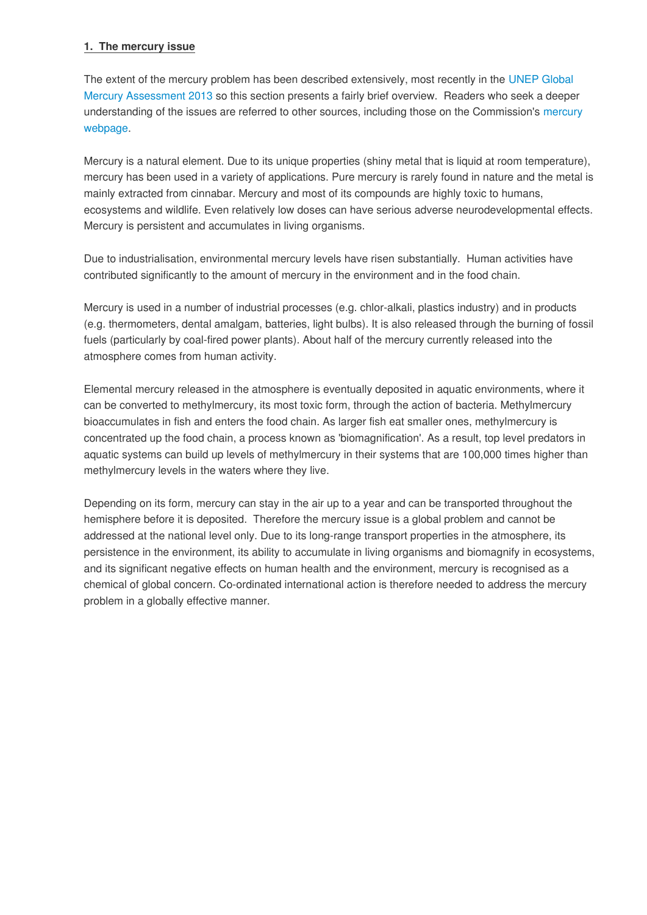#### **1. The mercury issue**

The extent of the mercury problem has been described extensively, most recently in the [UNEP Global](http://www.unep.org/PDF/PressReleases/GlobalMercuryAssessment2013.pdf) [Mercury Assessment 2013](http://www.unep.org/PDF/PressReleases/GlobalMercuryAssessment2013.pdf) so this section presents a fairly brief overview. Readers who seek a deeper understanding of the issues are referred to other sources, including those on the Commission's [mercury](http://vestia.cc.cec.eu.int:8090/environment/chemicals/mercury/) [webpage.](http://vestia.cc.cec.eu.int:8090/environment/chemicals/mercury/)

Mercury is a natural element. Due to its unique properties (shiny metal that is liquid at room temperature), mercury has been used in a variety of applications. Pure mercury is rarely found in nature and the metal is mainly extracted from cinnabar. Mercury and most of its compounds are highly toxic to humans, ecosystems and wildlife. Even relatively low doses can have serious adverse neurodevelopmental effects. Mercury is persistent and accumulates in living organisms.

Due to industrialisation, environmental mercury levels have risen substantially. Human activities have contributed significantly to the amount of mercury in the environment and in the food chain.

Mercury is used in a number of industrial processes (e.g. chlor-alkali, plastics industry) and in products (e.g. thermometers, dental amalgam, batteries, light bulbs). It is also released through the burning of fossil fuels (particularly by coal-fired power plants). About half of the mercury currently released into the atmosphere comes from human activity.

Elemental mercury released in the atmosphere is eventually deposited in aquatic environments, where it can be converted to methylmercury, its most toxic form, through the action of bacteria. Methylmercury bioaccumulates in fish and enters the food chain. As larger fish eat smaller ones, methylmercury is concentrated up the food chain, a process known as 'biomagnification'. As a result, top level predators in aquatic systems can build up levels of methylmercury in their systems that are 100,000 times higher than methylmercury levels in the waters where they live.

Depending on its form, mercury can stay in the air up to a year and can be transported throughout the hemisphere before it is deposited. Therefore the mercury issue is a global problem and cannot be addressed at the national level only. Due to its long-range transport properties in the atmosphere, its persistence in the environment, its ability to accumulate in living organisms and biomagnify in ecosystems, and its significant negative effects on human health and the environment, mercury is recognised as a chemical of global concern. Co-ordinated international action is therefore needed to address the mercury problem in a globally effective manner.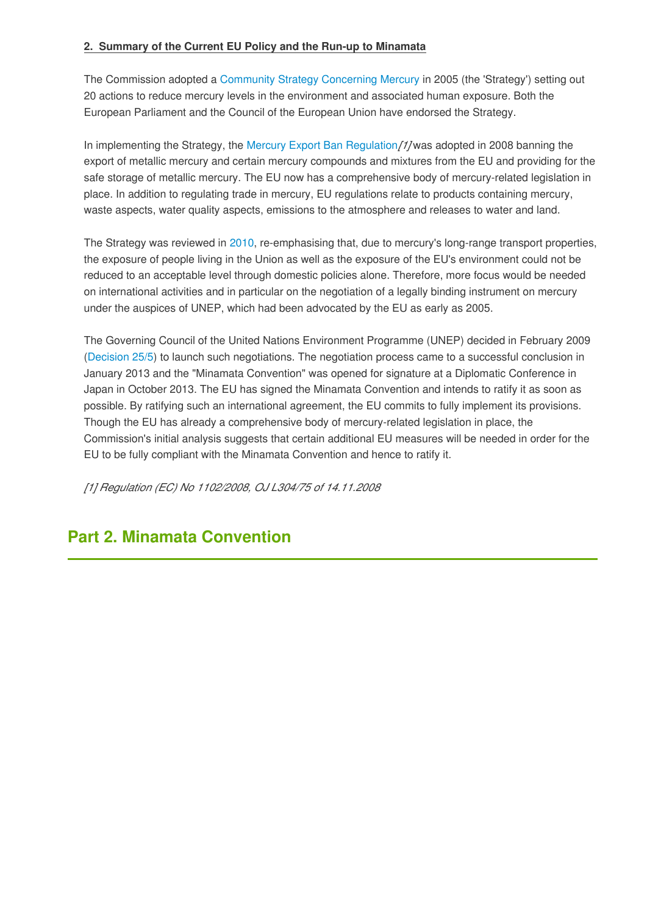#### **2. Summary of the Current EU Policy and the Run-up to Minamata**

The Commission adopted a [Community Strategy Concerning Mercury](http://eur-lex.europa.eu/legal-content/EN/TXT/PDF/?uri=CELEX:52005DC0020&from=EN) in 2005 (the 'Strategy') setting out 20 actions to reduce mercury levels in the environment and associated human exposure. Both the European Parliament and the Council of the European Union have endorsed the Strategy.

In implementing the Strategy, the [Mercury Export Ban Regulation](http://eur-lex.europa.eu/legal-content/EN/TXT/PDF/?uri=CELEX:32008R1102&from=EN)*[1]* was adopted in 2008 banning the export of metallic mercury and certain mercury compounds and mixtures from the EU and providing for the safe storage of metallic mercury. The EU now has a comprehensive body of mercury-related legislation in place. In addition to regulating trade in mercury, EU regulations relate to products containing mercury, waste aspects, water quality aspects, emissions to the atmosphere and releases to water and land.

The Strategy was reviewed in [2010,](http://eur-lex.europa.eu/legal-content/EN/TXT/PDF/?uri=CELEX:52010DC0723&from=EN) re-emphasising that, due to mercury's long-range transport properties, the exposure of people living in the Union as well as the exposure of the EU's environment could not be reduced to an acceptable level through domestic policies alone. Therefore, more focus would be needed on international activities and in particular on the negotiation of a legally binding instrument on mercury under the auspices of UNEP, which had been advocated by the EU as early as 2005.

The Governing Council of the United Nations Environment Programme (UNEP) decided in February 2009 ([Decision 25/5](http://www.chem.unep.ch/mercury/GC25/GC25Report_English_25_5.pdf)) to launch such negotiations. The negotiation process came to a successful conclusion in January 2013 and the "Minamata Convention" was opened for signature at a Diplomatic Conference in Japan in October 2013. The EU has signed the Minamata Convention and intends to ratify it as soon as possible. By ratifying such an international agreement, the EU commits to fully implement its provisions. Though the EU has already a comprehensive body of mercury-related legislation in place, the Commission's initial analysis suggests that certain additional EU measures will be needed in order for the EU to be fully compliant with the Minamata Convention and hence to ratify it.

*[1] Regulation (EC) No 1102/2008, OJ L304/75 of 14.11.2008*

# **Part 2. Minamata Convention**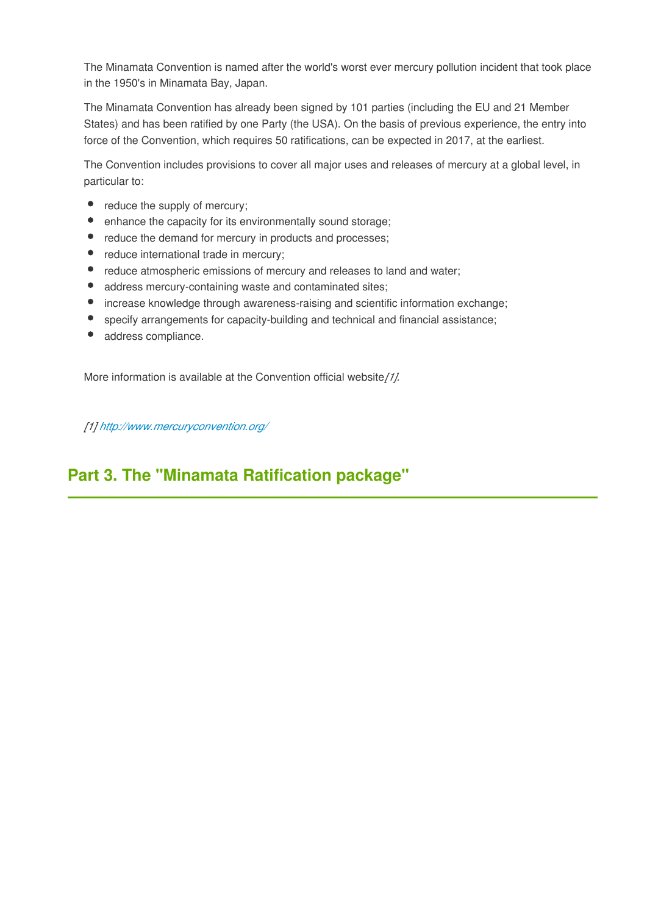The Minamata Convention is named after the world's worst ever mercury pollution incident that took place in the 1950's in Minamata Bay, Japan.

The Minamata Convention has already been signed by 101 parties (including the EU and 21 Member States) and has been ratified by one Party (the USA). On the basis of previous experience, the entry into force of the Convention, which requires 50 ratifications, can be expected in 2017, at the earliest.

The Convention includes provisions to cover all major uses and releases of mercury at a global level, in particular to:

- $\bullet$ reduce the supply of mercury;
- enhance the capacity for its environmentally sound storage;  $\bullet$
- reduce the demand for mercury in products and processes;
- $\bullet$ reduce international trade in mercury;
- reduce atmospheric emissions of mercury and releases to land and water;  $\bullet$
- address mercury-containing waste and contaminated sites;
- $\bullet$ increase knowledge through awareness-raising and scientific information exchange;
- specify arrangements for capacity-building and technical and financial assistance;  $\bullet$
- address compliance.

More information is available at the Convention official website*[1].*

*[1]<http://www.mercuryconvention.org/>*

# **Part 3. The "Minamata Ratification package"**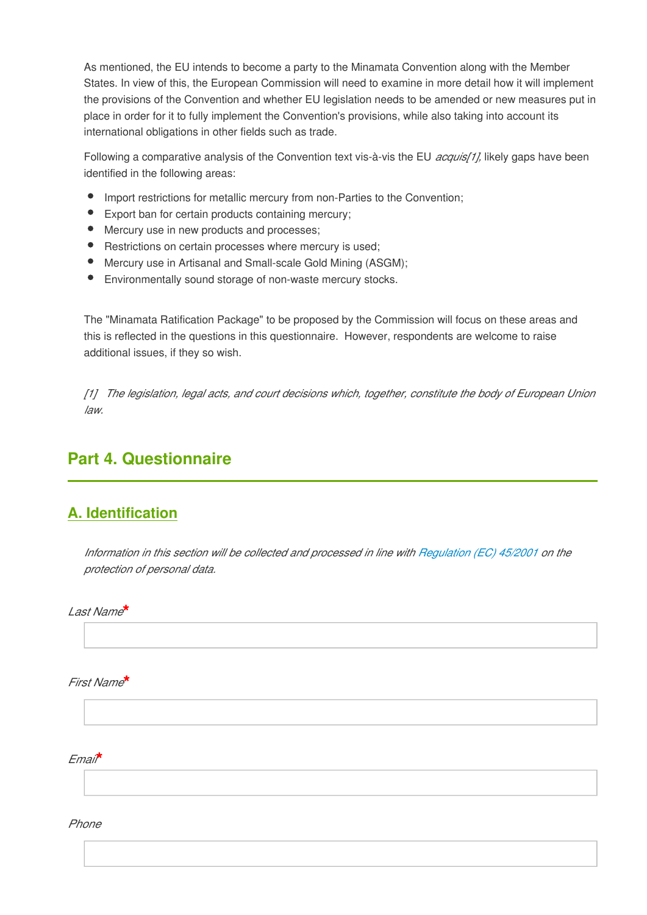As mentioned, the EU intends to become a party to the Minamata Convention along with the Member States. In view of this, the European Commission will need to examine in more detail how it will implement the provisions of the Convention and whether EU legislation needs to be amended or new measures put in place in order for it to fully implement the Convention's provisions, while also taking into account its international obligations in other fields such as trade.

Following a comparative analysis of the Convention text vis-à-vis the EU *acquis[1],* likely gaps have been identified in the following areas:

- Import restrictions for metallic mercury from non-Parties to the Convention:
- Export ban for certain products containing mercury;
- Mercury use in new products and processes;
- Restrictions on certain processes where mercury is used:
- Mercury use in Artisanal and Small-scale Gold Mining (ASGM);
- Environmentally sound storage of non-waste mercury stocks.

The "Minamata Ratification Package" to be proposed by the Commission will focus on these areas and this is reflected in the questions in this questionnaire. However, respondents are welcome to raise additional issues, if they so wish.

*[1] The legislation, legal acts, and court decisions which, together, constitute the body of European Union law.*

# **Part 4. Questionnaire**

## **A. Identification**

*Information in this section will be collected and processed in line with [Regulation \(EC\) 45/2001](http://eur-lex.europa.eu/LexUriServ/LexUriServ.do?uri=OJ:L:2001:008:0001:0022:en:PDF) on the protection of personal data.*

*Last Name***\***

*First Name***\***

*Email***\***

*Phone*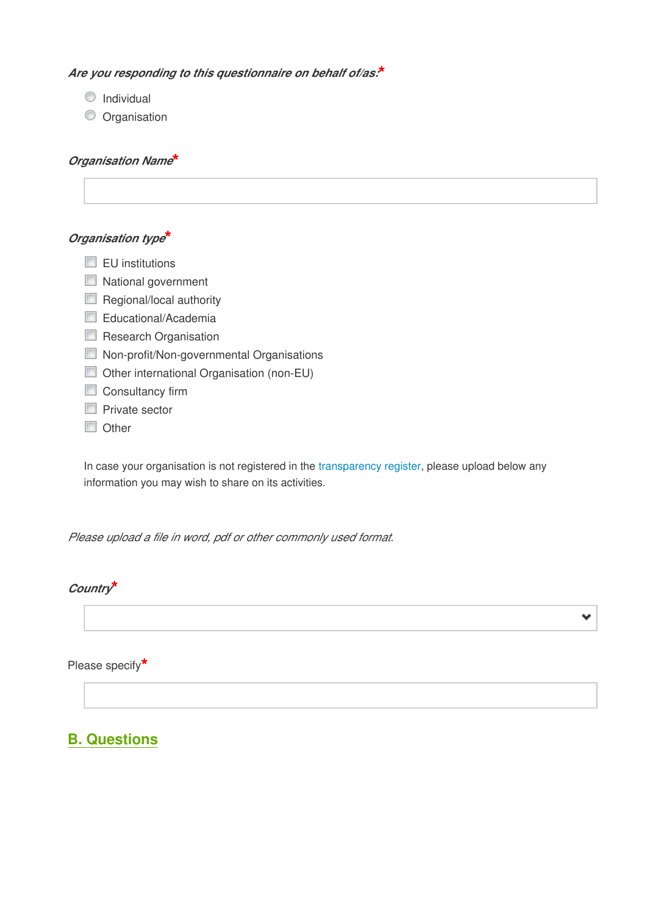#### *Are you responding to this questionnaire on behalf of/as:***\***

- **O** Individual
- **O** Organisation

#### *Organisation Name***\***

## *Organisation type***\***

- $\Box$  EU institutions
- National government
- Regional/local authority
- Educational/Academia
- Research Organisation
- **Non-profit/Non-governmental Organisations**
- Other international Organisation (non-EU)
- Consultancy firm
- **Private sector**
- **Other**

In case your organisation is not registered in the [transparency register](http://vestia.cc.cec.eu.int:8090/transparencyregister/), please upload below any information you may wish to share on its activities.

*Please upload a file in word, pdf or other commonly used format.*

### *Country***\***

Please specify**\***

# **B. Questions**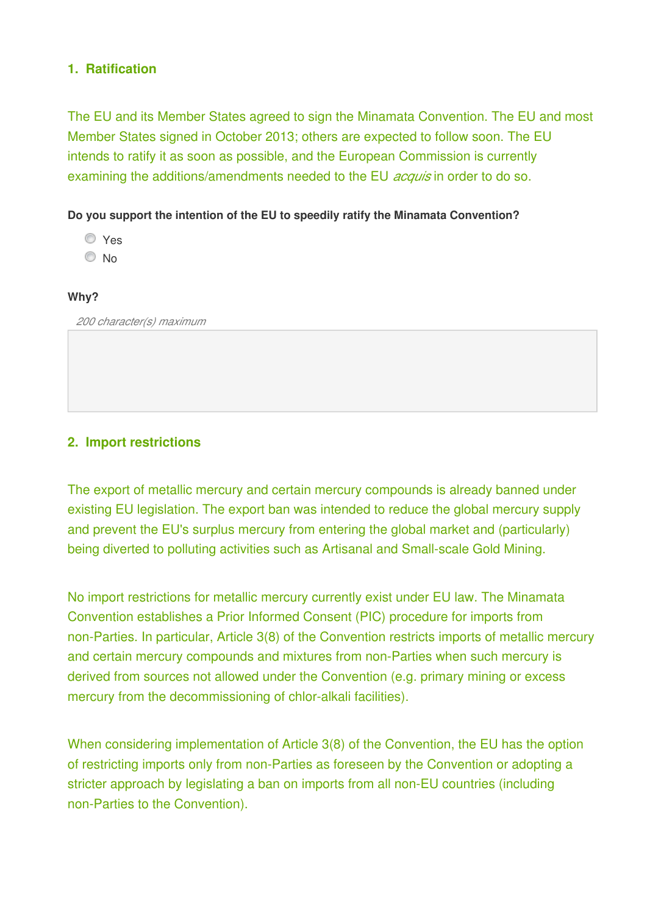## **1. Ratification**

The EU and its Member States agreed to sign the Minamata Convention. The EU and most Member States signed in October 2013; others are expected to follow soon. The EU intends to ratify it as soon as possible, and the European Commission is currently examining the additions/amendments needed to the EU *acquis* in order to do so.

## **Do you support the intention of the EU to speedily ratify the Minamata Convention?**

- Yes
- © No

## **Why?**

*200 character(s) maximum* 

## **2. Import restrictions**

The export of metallic mercury and certain mercury compounds is already banned under existing EU legislation. The export ban was intended to reduce the global mercury supply and prevent the EU's surplus mercury from entering the global market and (particularly) being diverted to polluting activities such as Artisanal and Small-scale Gold Mining.

No import restrictions for metallic mercury currently exist under EU law. The Minamata Convention establishes a Prior Informed Consent (PIC) procedure for imports from non-Parties. In particular, Article 3(8) of the Convention restricts imports of metallic mercury and certain mercury compounds and mixtures from non-Parties when such mercury is derived from sources not allowed under the Convention (e.g. primary mining or excess mercury from the decommissioning of chlor-alkali facilities).

When considering implementation of Article 3(8) of the Convention, the EU has the option of restricting imports only from non-Parties as foreseen by the Convention or adopting a stricter approach by legislating a ban on imports from all non-EU countries (including non-Parties to the Convention).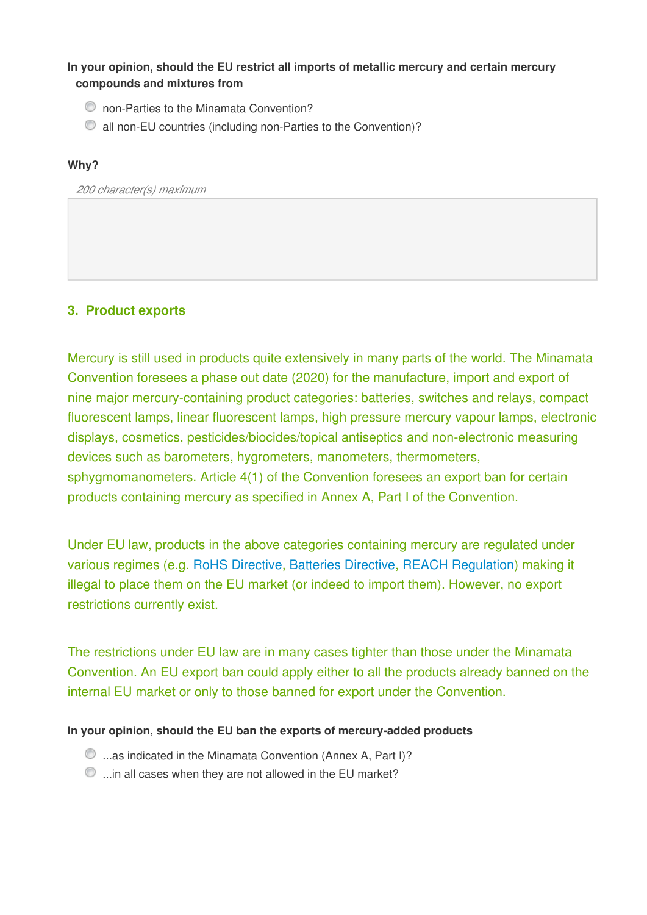## **In your opinion, should the EU restrict all imports of metallic mercury and certain mercury compounds and mixtures from**

- non-Parties to the Minamata Convention?
- all non-EU countries (including non-Parties to the Convention)?

### **Why?**

*200 character(s) maximum* 

## **3. Product exports**

Mercury is still used in products quite extensively in many parts of the world. The Minamata Convention foresees a phase out date (2020) for the manufacture, import and export of nine major mercury-containing product categories: batteries, switches and relays, compact fluorescent lamps, linear fluorescent lamps, high pressure mercury vapour lamps, electronic displays, cosmetics, pesticides/biocides/topical antiseptics and non-electronic measuring devices such as barometers, hygrometers, manometers, thermometers, sphygmomanometers. Article 4(1) of the Convention foresees an export ban for certain products containing mercury as specified in Annex A, Part I of the Convention.

Under EU law, products in the above categories containing mercury are regulated under various regimes (e.g. [RoHS Directive,](http://eur-lex.europa.eu/legal-content/EN/TXT/PDF/?uri=CELEX:32011L0065&from=en) [Batteries Directive,](http://eur-lex.europa.eu/LexUriServ/LexUriServ.do?uri=CONSLEG:2006L0066:20081205:EN:PDF) [REACH Regulation](http://eur-lex.europa.eu/legal-content/EN/TXT/PDF/?uri=CELEX:02006R1907-20140410&qid=1405608384996&from=EN)) making it illegal to place them on the EU market (or indeed to import them). However, no export restrictions currently exist.

The restrictions under EU law are in many cases tighter than those under the Minamata Convention. An EU export ban could apply either to all the products already banned on the internal EU market or only to those banned for export under the Convention.

## **In your opinion, should the EU ban the exports of mercury-added products**

- **t**...as indicated in the Minamata Convention (Annex A, Part I)?
- $\bullet$  ...in all cases when they are not allowed in the EU market?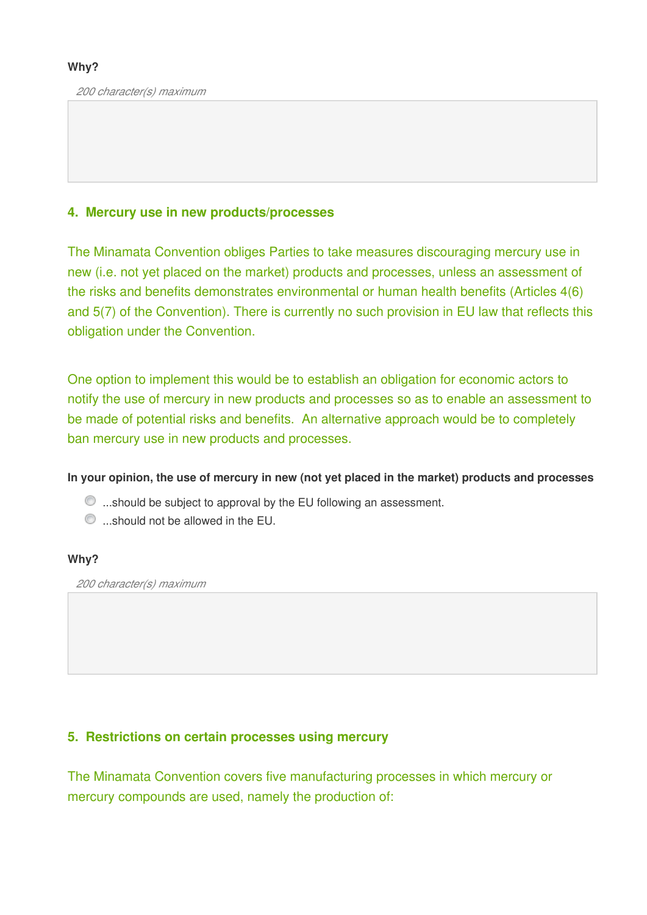*200 character(s) maximum* 

## **4. Mercury use in new products/processes**

The Minamata Convention obliges Parties to take measures discouraging mercury use in new (i.e. not yet placed on the market) products and processes, unless an assessment of the risks and benefits demonstrates environmental or human health benefits (Articles 4(6) and 5(7) of the Convention). There is currently no such provision in EU law that reflects this obligation under the Convention.

One option to implement this would be to establish an obligation for economic actors to notify the use of mercury in new products and processes so as to enable an assessment to be made of potential risks and benefits. An alternative approach would be to completely ban mercury use in new products and processes.

**In your opinion, the use of mercury in new (not yet placed in the market) products and processes**

- $\bullet$  ...should be subject to approval by the EU following an assessment.
- $\bullet$  ...should not be allowed in the EU.

#### **Why?**

*200 character(s) maximum* 

## **5. Restrictions on certain processes using mercury**

The Minamata Convention covers five manufacturing processes in which mercury or mercury compounds are used, namely the production of: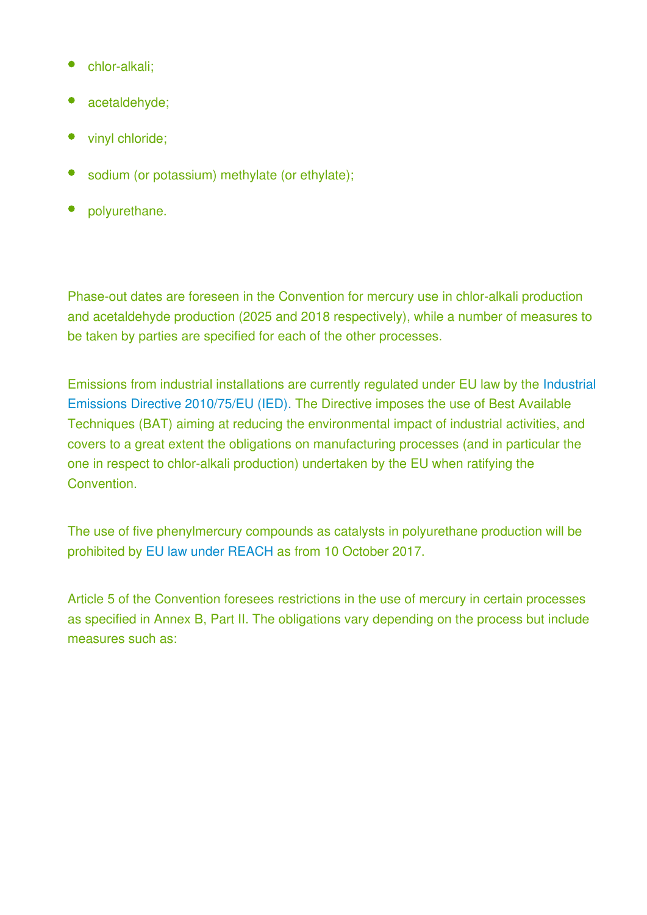- chlor-alkali;
- acetaldehyde;
- vinyl chloride;
- sodium (or potassium) methylate (or ethylate);
- polyurethane.

Phase-out dates are foreseen in the Convention for mercury use in chlor-alkali production and acetaldehyde production (2025 and 2018 respectively), while a number of measures to be taken by parties are specified for each of the other processes.

Emissions from industrial installations are currently regulated under EU law by the [Industrial](http://eur-lex.europa.eu/legal-content/EN/TXT/PDF/?uri=CELEX:32010L0075&from=EN) [Emissions Directive 2010/75/EU \(IED\). T](http://eur-lex.europa.eu/legal-content/EN/TXT/PDF/?uri=CELEX:32010L0075&from=EN)he Directive imposes the use of Best Available Techniques (BAT) aiming at reducing the environmental impact of industrial activities, and covers to a great extent the obligations on manufacturing processes (and in particular the one in respect to chlor-alkali production) undertaken by the EU when ratifying the Convention.

The use of five phenylmercury compounds as catalysts in polyurethane production will be prohibited by [EU law under REACH](http://eur-lex.europa.eu/legal-content/EN/TXT/PDF/?uri=CELEX:32012R0848&from=EN) as from 10 October 2017.

Article 5 of the Convention foresees restrictions in the use of mercury in certain processes as specified in Annex B, Part II. The obligations vary depending on the process but include measures such as: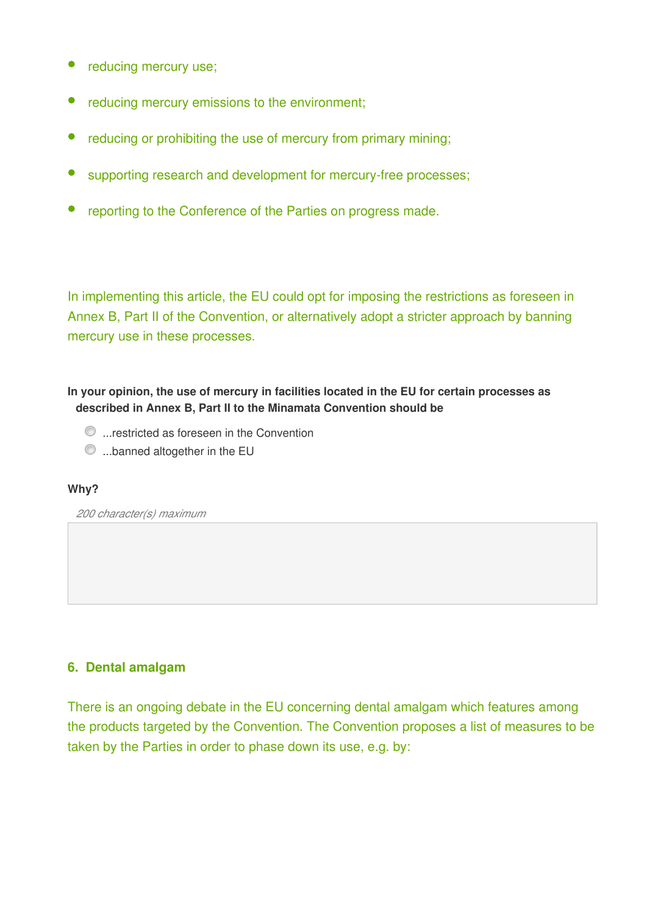- reducing mercury use;
- reducing mercury emissions to the environment;
- reducing or prohibiting the use of mercury from primary mining;
- supporting research and development for mercury-free processes;
- reporting to the Conference of the Parties on progress made.

In implementing this article, the EU could opt for imposing the restrictions as foreseen in Annex B, Part II of the Convention, or alternatively adopt a stricter approach by banning mercury use in these processes.

**In your opinion, the use of mercury in facilities located in the EU for certain processes as described in Annex B, Part II to the Minamata Convention should be**

- $\bullet$  ...restricted as foreseen in the Convention
- $\bullet$  ...banned altogether in the EU

#### **Why?**

*200 character(s) maximum* 

## **6. Dental amalgam**

There is an ongoing debate in the EU concerning dental amalgam which features among the products targeted by the Convention. The Convention proposes a list of measures to be taken by the Parties in order to phase down its use, e.g. by: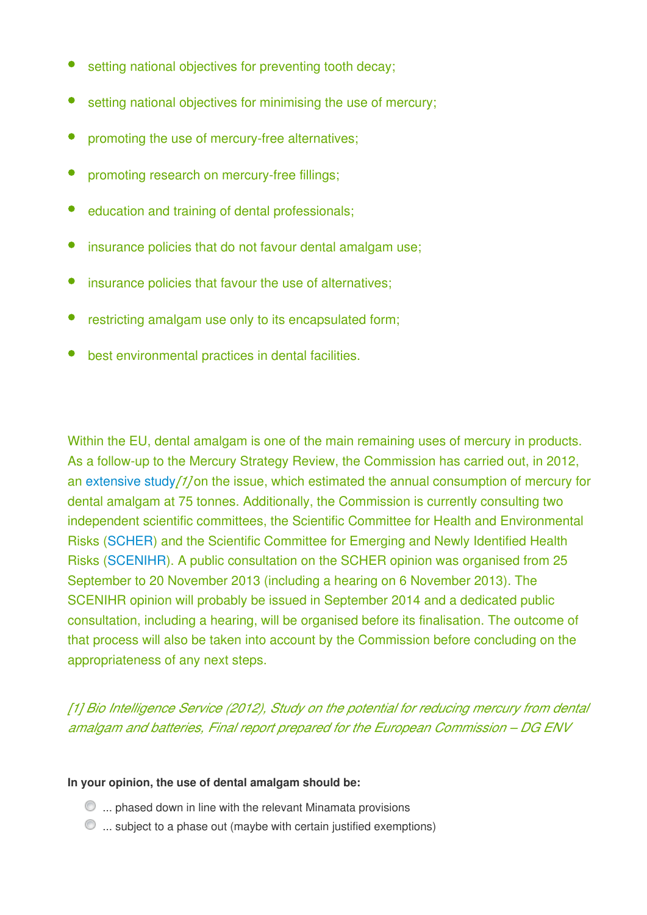- setting national objectives for preventing tooth decay;
- setting national objectives for minimising the use of mercury;
- promoting the use of mercury-free alternatives;
- promoting research on mercury-free fillings;
- education and training of dental professionals;
- insurance policies that do not favour dental amalgam use;
- $\bullet$ insurance policies that favour the use of alternatives;
- restricting amalgam use only to its encapsulated form;
- best environmental practices in dental facilities.

Within the EU, dental amalgam is one of the main remaining uses of mercury in products. As a follow-up to the Mercury Strategy Review, the Commission has carried out, in 2012, an [extensive study](http://vestia.cc.cec.eu.int:8090/environment/chemicals/mercury/pdf/final_report_110712.pdf)*[1]* on the issue, which estimated the annual consumption of mercury for dental amalgam at 75 tonnes. Additionally, the Commission is currently consulting two independent scientific committees, the Scientific Committee for Health and Environmental Risks ([SCHER\)](http://vestia.cc.cec.eu.int:8090/health/scientific_committees/environmental_risks/index_en.htm) and the Scientific Committee for Emerging and Newly Identified Health Risks ([SCENIHR\)](http://vestia.cc.cec.eu.int:8090/health/scientific_committees/emerging/). A public consultation on the SCHER opinion was organised from 25 September to 20 November 2013 (including a hearing on 6 November 2013). The SCENIHR opinion will probably be issued in September 2014 and a dedicated public consultation, including a hearing, will be organised before its finalisation. The outcome of that process will also be taken into account by the Commission before concluding on the appropriateness of any next steps.

*[1] Bio Intelligence Service (2012), Study on the potential for reducing mercury from dental amalgam and batteries, Final report prepared for the European Commission – DG ENV*

#### **In your opinion, the use of dental amalgam should be:**

- $\odot$  ... phased down in line with the relevant Minamata provisions
- $\bullet$   $\ldots$  subject to a phase out (maybe with certain justified exemptions)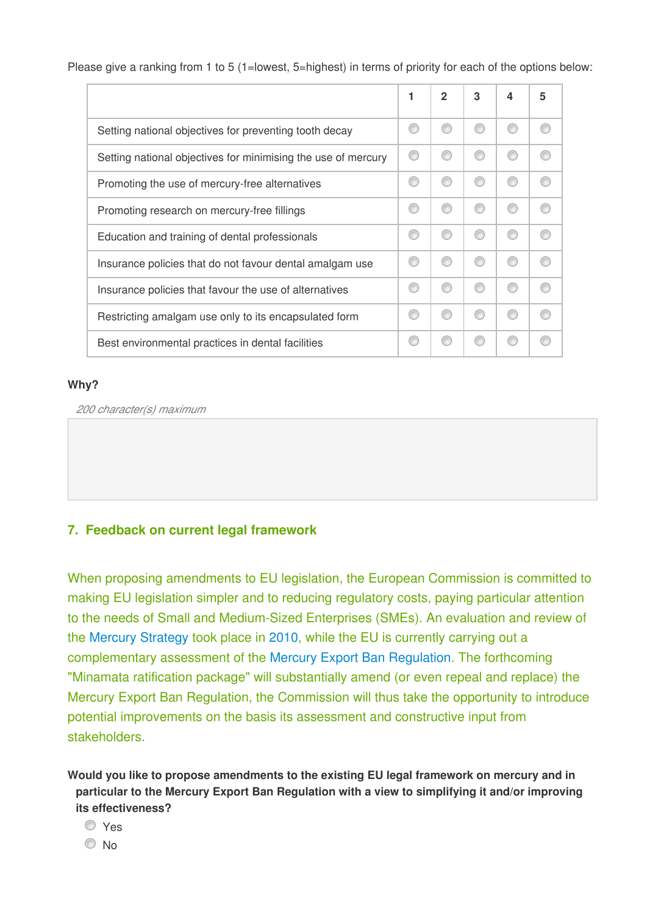Please give a ranking from 1 to 5 (1=lowest, 5=highest) in terms of priority for each of the options below:

|                                                               | 2 | 3 | 4 | 5 |
|---------------------------------------------------------------|---|---|---|---|
| Setting national objectives for preventing tooth decay        |   |   |   |   |
| Setting national objectives for minimising the use of mercury |   |   |   |   |
| Promoting the use of mercury-free alternatives                |   |   |   |   |
| Promoting research on mercury-free fillings                   |   |   |   |   |
| Education and training of dental professionals                |   |   |   |   |
| Insurance policies that do not favour dental amalgam use      |   |   |   |   |
| Insurance policies that favour the use of alternatives        |   | ⋒ |   |   |
| Restricting amalgam use only to its encapsulated form         |   |   |   |   |
| Best environmental practices in dental facilities             |   |   |   |   |

### **Why?**

*200 character(s) maximum* 

## **7. Feedback on current legal framework**

When proposing amendments to EU legislation, the European Commission is committed to making EU legislation simpler and to reducing regulatory costs, paying particular attention to the needs of Small and Medium-Sized Enterprises (SMEs). An evaluation and review of the [Mercury Strategy](http://eur-lex.europa.eu/legal-content/EN/TXT/PDF/?uri=CELEX:52005DC0020&from=EN) took place in [2010](http://eur-lex.europa.eu/legal-content/EN/TXT/PDF/?uri=CELEX:52010DC0723&from=EN), while the EU is currently carrying out a complementary assessment of the [Mercury Export Ban Regulation](http://eur-lex.europa.eu/legal-content/EN/TXT/PDF/?uri=CELEX:32008R1102&from=EN). The forthcoming "Minamata ratification package" will substantially amend (or even repeal and replace) the Mercury Export Ban Regulation, the Commission will thus take the opportunity to introduce potential improvements on the basis its assessment and constructive input from stakeholders.

**Would you like to propose amendments to the existing EU legal framework on mercury and in particular to the Mercury Export Ban Regulation with a view to simplifying it and/or improving its effectiveness?**

Yes

© No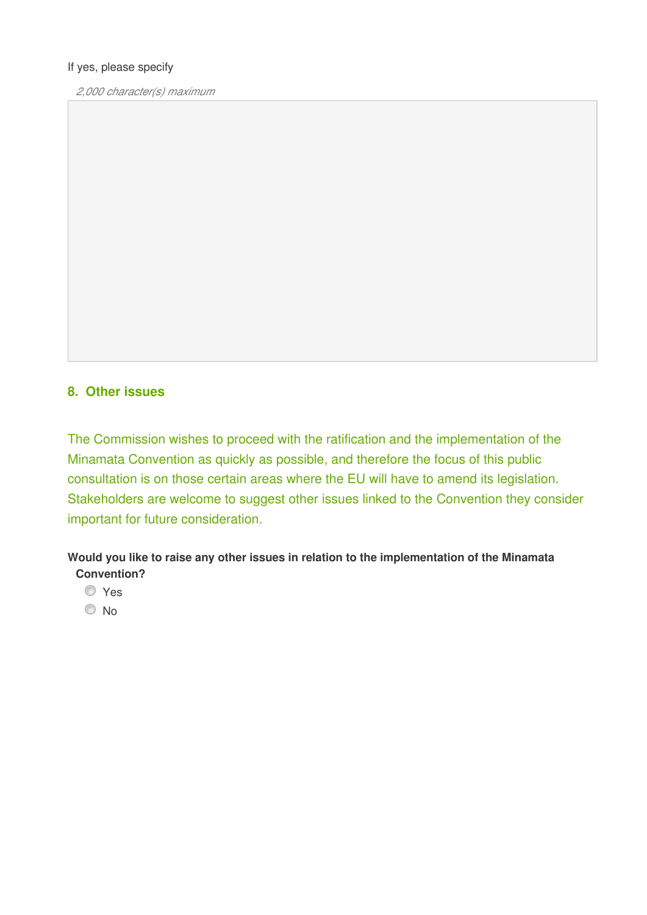#### If yes, please specify

*2,000 character(s) maximum* 

## **8. Other issues**

The Commission wishes to proceed with the ratification and the implementation of the Minamata Convention as quickly as possible, and therefore the focus of this public consultation is on those certain areas where the EU will have to amend its legislation. Stakeholders are welcome to suggest other issues linked to the Convention they consider important for future consideration.

**Would you like to raise any other issues in relation to the implementation of the Minamata Convention?**

- Yes
- <sup>O</sup>No